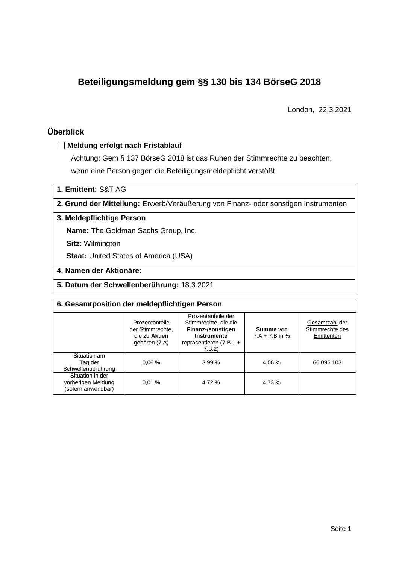# **Beteiligungsmeldung gem §§ 130 bis 134 BörseG 2018**

London, 22.3.2021

# **Überblick**

### **Meldung erfolgt nach Fristablauf**

Achtung: Gem § 137 BörseG 2018 ist das Ruhen der Stimmrechte zu beachten, wenn eine Person gegen die Beteiligungsmeldepflicht verstößt.

**1. Emittent:** S&T AG

**2. Grund der Mitteilung:** Erwerb/Veräußerung von Finanz- oder sonstigen Instrumenten

## **3. Meldepflichtige Person**

**Name:** The Goldman Sachs Group, Inc.

**Sitz:** Wilmington

**Staat: United States of America (USA)** 

- **4. Namen der Aktionäre:**
- **5. Datum der Schwellenberührung:** 18.3.2021

| 6. Gesamtposition der meldepflichtigen Person                |                                                                      |                                                                                                                           |                                      |                                                 |  |  |  |  |
|--------------------------------------------------------------|----------------------------------------------------------------------|---------------------------------------------------------------------------------------------------------------------------|--------------------------------------|-------------------------------------------------|--|--|--|--|
|                                                              | Prozentanteile<br>der Stimmrechte.<br>die zu Aktien<br>gehören (7.A) | Prozentanteile der<br>Stimmrechte, die die<br>Finanz-/sonstigen<br><b>Instrumente</b><br>repräsentieren (7.B.1 +<br>7.B.2 | <b>Summe</b> von<br>$7.A + 7.B$ in % | Gesamtzahl der<br>Stimmrechte des<br>Emittenten |  |  |  |  |
| Situation am<br>Tag der<br>Schwellenberührung                | 0.06%                                                                | 3.99%                                                                                                                     | 4.06 %                               | 66 096 103                                      |  |  |  |  |
| Situation in der<br>vorherigen Meldung<br>(sofern anwendbar) | 0.01%                                                                | 4,72 %                                                                                                                    | 4,73 %                               |                                                 |  |  |  |  |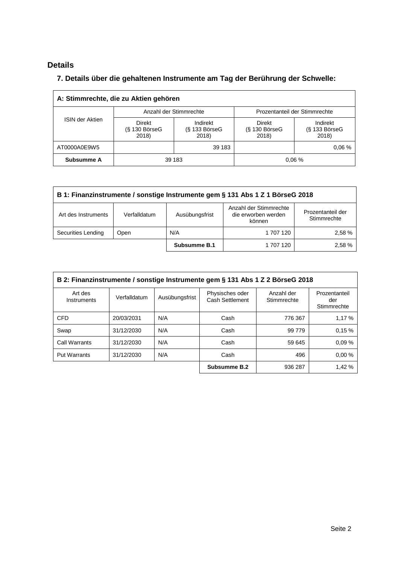# **Details**

# **7. Details über die gehaltenen Instrumente am Tag der Berührung der Schwelle:**

| A: Stimmrechte, die zu Aktien gehören |                                    |                                      |                                           |                                      |  |  |  |  |
|---------------------------------------|------------------------------------|--------------------------------------|-------------------------------------------|--------------------------------------|--|--|--|--|
|                                       |                                    | Anzahl der Stimmrechte               | Prozentanteil der Stimmrechte             |                                      |  |  |  |  |
| <b>ISIN der Aktien</b>                | Direkt<br>$(S$ 130 BörseG<br>2018) | Indirekt<br>$(S$ 133 BörseG<br>2018) | <b>Direkt</b><br>$(S$ 130 BörseG<br>2018) | Indirekt<br>$(S$ 133 BörseG<br>2018) |  |  |  |  |
| AT0000A0E9W5                          |                                    | 39 183                               |                                           | 0.06%                                |  |  |  |  |
| Subsumme A                            | 0.06%<br>39 183                    |                                      |                                           |                                      |  |  |  |  |

| B 1: Finanzinstrumente / sonstige Instrumente gem § 131 Abs 1 Z 1 BörseG 2018 |                                                                                                                               |              |           |        |  |  |
|-------------------------------------------------------------------------------|-------------------------------------------------------------------------------------------------------------------------------|--------------|-----------|--------|--|--|
| Art des Instruments                                                           | Anzahl der Stimmrechte<br>Prozentanteil der<br>die erworben werden<br>Ausübungsfrist<br>Verfalldatum<br>Stimmrechte<br>können |              |           |        |  |  |
| Securities Lending                                                            | Open                                                                                                                          | N/A          | 1 707 120 | 2,58 % |  |  |
|                                                                               |                                                                                                                               | Subsumme B.1 | 1 707 120 | 2.58 % |  |  |

| B 2: Finanzinstrumente / sonstige Instrumente gem § 131 Abs 1 Z 2 BörseG 2018 |              |                |                                           |                           |                                     |  |
|-------------------------------------------------------------------------------|--------------|----------------|-------------------------------------------|---------------------------|-------------------------------------|--|
| Art des<br>Instruments                                                        | Verfalldatum | Ausübungsfrist | Physisches oder<br><b>Cash Settlement</b> | Anzahl der<br>Stimmrechte | Prozentanteil<br>der<br>Stimmrechte |  |
| <b>CFD</b>                                                                    | 20/03/2031   | N/A            | Cash                                      | 776 367                   | 1.17 %                              |  |
| Swap                                                                          | 31/12/2030   | N/A            | Cash                                      | 99 779                    | 0.15%                               |  |
| <b>Call Warrants</b>                                                          | 31/12/2030   | N/A            | Cash                                      | 59 645                    | 0.09%                               |  |
| <b>Put Warrants</b>                                                           | 31/12/2030   | N/A            | Cash                                      | 496                       | 0.00%                               |  |
|                                                                               |              |                | Subsumme B.2                              | 936 287                   | 1,42 %                              |  |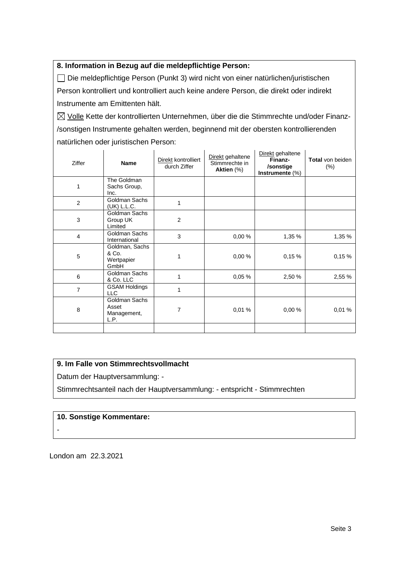## **8. Information in Bezug auf die meldepflichtige Person:**

Die meldepflichtige Person (Punkt 3) wird nicht von einer natürlichen/juristischen Person kontrolliert und kontrolliert auch keine andere Person, die direkt oder indirekt Instrumente am Emittenten hält.

 $\boxtimes$  Volle Kette der kontrollierten Unternehmen, über die die Stimmrechte und/oder Finanz-/sonstigen Instrumente gehalten werden, beginnend mit der obersten kontrollierenden natürlichen oder juristischen Person:

| Ziffer                  | <b>Name</b>                                   | Direkt kontrolliert<br>durch Ziffer | Direkt gehaltene<br>Stimmrechte in<br>Aktien (%) | Direkt gehaltene<br>Finanz-<br>/sonstige<br>Instrumente (%) | Total von beiden<br>$(\%)$ |
|-------------------------|-----------------------------------------------|-------------------------------------|--------------------------------------------------|-------------------------------------------------------------|----------------------------|
| 1                       | The Goldman<br>Sachs Group,<br>Inc.           |                                     |                                                  |                                                             |                            |
| 2                       | Goldman Sachs<br>(UK) L.L.C.                  | 1                                   |                                                  |                                                             |                            |
| 3                       | Goldman Sachs<br>Group UK<br>Limited          | $\overline{2}$                      |                                                  |                                                             |                            |
| $\overline{\mathbf{4}}$ | Goldman Sachs<br>International                | 3                                   | 0,00%                                            | 1,35%                                                       | 1,35 %                     |
| 5                       | Goldman, Sachs<br>& Co.<br>Wertpapier<br>GmbH | 1                                   | 0,00%                                            | 0.15%                                                       | 0,15%                      |
| 6                       | Goldman Sachs<br>& Co. LLC                    | 1                                   | 0,05%                                            | 2,50 %                                                      | 2,55 %                     |
| 7                       | <b>GSAM Holdings</b><br><b>LLC</b>            | 1                                   |                                                  |                                                             |                            |
| 8                       | Goldman Sachs<br>Asset<br>Management,<br>L.P. | 7                                   | 0,01%                                            | 0,00%                                                       | 0,01%                      |
|                         |                                               |                                     |                                                  |                                                             |                            |

### **9. Im Falle von Stimmrechtsvollmacht**

Datum der Hauptversammlung: -

Stimmrechtsanteil nach der Hauptversammlung: - entspricht - Stimmrechten

## **10. Sonstige Kommentare:**

-

London am 22.3.2021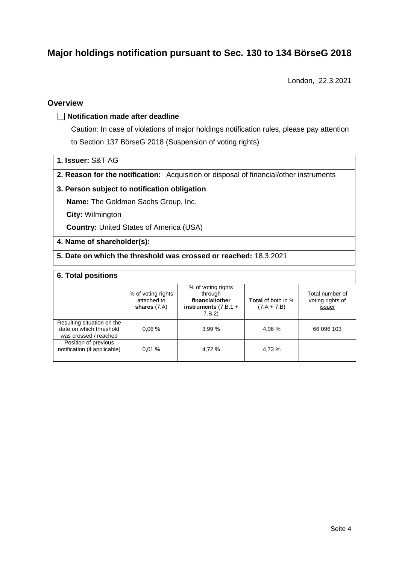# **Major holdings notification pursuant to Sec. 130 to 134 BörseG 2018**

London, 22.3.2021

### **Overview**

#### **Notification made after deadline**

Caution: In case of violations of major holdings notification rules, please pay attention to Section 137 BörseG 2018 (Suspension of voting rights)

- **1. Issuer:** S&T AG
- **2. Reason for the notification:** Acquisition or disposal of financial/other instruments

#### **3. Person subject to notification obligation**

**Name:** The Goldman Sachs Group, Inc.

**City:** Wilmington

**Country:** United States of America (USA)

#### **4. Name of shareholder(s):**

#### **5. Date on which the threshold was crossed or reached:** 18.3.2021

#### **6. Total positions**

|                                                                                | % of voting rights<br>attached to<br>shares $(7.A)$ | % of voting rights<br>through<br>financial/other<br>instruments $(7.B.1 +$<br>7.B.2 | <b>Total</b> of both in %<br>$(7.A + 7.B)$ | Total number of<br>voting rights of<br>issuer |
|--------------------------------------------------------------------------------|-----------------------------------------------------|-------------------------------------------------------------------------------------|--------------------------------------------|-----------------------------------------------|
| Resulting situation on the<br>date on which threshold<br>was crossed / reached | 0.06%                                               | 3,99%                                                                               | 4,06 %                                     | 66 096 103                                    |
| Position of previous<br>notification (if applicable)                           | 0.01%                                               | 4.72 %                                                                              | 4,73 %                                     |                                               |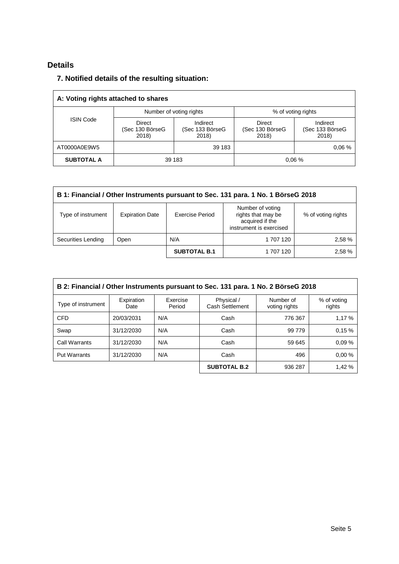# **Details**

# **7. Notified details of the resulting situation:**

| A: Voting rights attached to shares |                                    |                                               |                                    |                                      |  |  |  |
|-------------------------------------|------------------------------------|-----------------------------------------------|------------------------------------|--------------------------------------|--|--|--|
|                                     |                                    | Number of voting rights<br>% of voting rights |                                    |                                      |  |  |  |
| <b>ISIN Code</b>                    | Direct<br>(Sec 130 BörseG<br>2018) | Indirect<br>(Sec 133 BörseG<br>2018)          | Direct<br>(Sec 130 BörseG<br>2018) | Indirect<br>(Sec 133 BörseG<br>2018) |  |  |  |
| AT0000A0E9W5                        |                                    | 39 183                                        |                                    | 0.06%                                |  |  |  |
| <b>SUBTOTAL A</b>                   |                                    | 39 183                                        |                                    | 0.06%                                |  |  |  |

| B 1: Financial / Other Instruments pursuant to Sec. 131 para. 1 No. 1 BörseG 2018 |                        |                     |                                                                                      |                    |  |  |
|-----------------------------------------------------------------------------------|------------------------|---------------------|--------------------------------------------------------------------------------------|--------------------|--|--|
| Type of instrument                                                                | <b>Expiration Date</b> | Exercise Period     | Number of voting<br>rights that may be<br>acquired if the<br>instrument is exercised | % of voting rights |  |  |
| Securities Lending                                                                | Open                   | N/A                 | 1 707 120                                                                            | 2,58 %             |  |  |
|                                                                                   |                        | <b>SUBTOTAL B.1</b> | 1 707 120                                                                            | 2,58 %             |  |  |

| B 2: Financial / Other Instruments pursuant to Sec. 131 para. 1 No. 2 BörseG 2018 |                    |                    |                               |                            |                       |  |
|-----------------------------------------------------------------------------------|--------------------|--------------------|-------------------------------|----------------------------|-----------------------|--|
| Type of instrument                                                                | Expiration<br>Date | Exercise<br>Period | Physical /<br>Cash Settlement | Number of<br>voting rights | % of voting<br>rights |  |
| <b>CFD</b>                                                                        | 20/03/2031         | N/A                | Cash                          | 776 367                    | 1.17%                 |  |
| Swap                                                                              | 31/12/2030         | N/A                | Cash                          | 99 779                     | 0.15%                 |  |
| Call Warrants                                                                     | 31/12/2030         | N/A                | Cash                          | 59 645                     | 0.09%                 |  |
| <b>Put Warrants</b>                                                               | 31/12/2030         | N/A                | Cash                          | 496                        | 0.00%                 |  |
|                                                                                   |                    |                    | <b>SUBTOTAL B.2</b>           | 936 287                    | 1,42 %                |  |